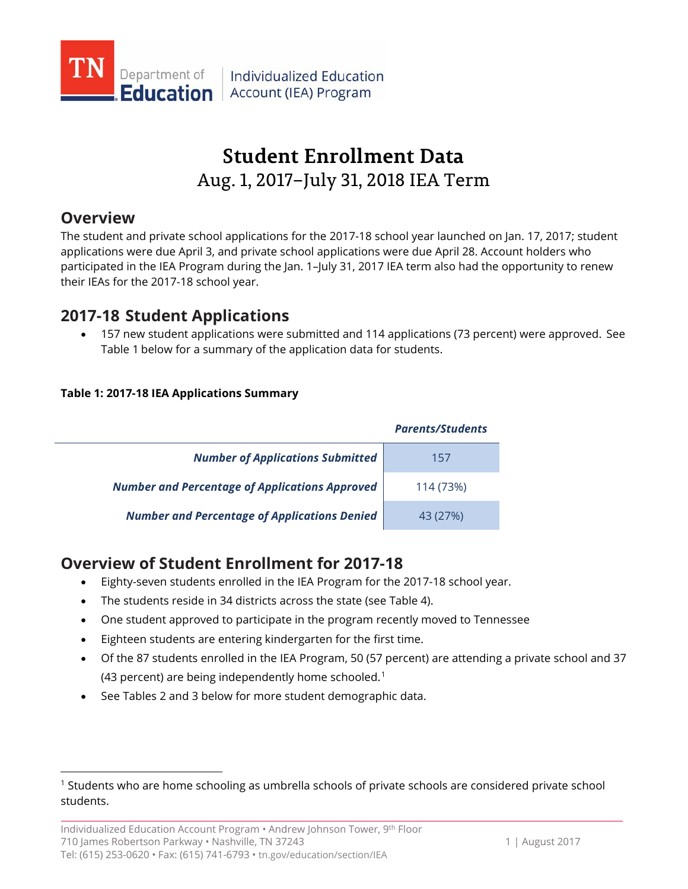

Individualized Education **Education** Account (IEA) Program

# **Student Enrollment Data** Aug. 1, 2017–July 31, 2018 IEA Term

### **Overview**

 $\overline{a}$ 

The student and private school applications for the 2017-18 school year launched on Jan. 17, 2017; student applications were due April 3, and private school applications were due April 28. Account holders who participated in the IEA Program during the Jan. 1–July 31, 2017 IEA term also had the opportunity to renew their IEAs for the 2017-18 school year.

### **2017-18 Student Applications**

• 157 new student applications were submitted and 114 applications (73 percent) were approved. See Table 1 below for a summary of the application data for students.

### **Table 1: 2017-18 IEA Applications Summary**

|                                                       | <b>Parents/Students</b> |
|-------------------------------------------------------|-------------------------|
| <b>Number of Applications Submitted</b>               | 15/                     |
| <b>Number and Percentage of Applications Approved</b> | 114 (73%)               |
| <b>Number and Percentage of Applications Denied</b>   | 43 (27%)                |

# **Overview of Student Enrollment for 2017-18**

- Eighty-seven students enrolled in the IEA Program for the 2017-18 school year.
- The students reside in 34 districts across the state (see Table 4).
- One student approved to participate in the program recently moved to Tennessee
- Eighteen students are entering kindergarten for the first time.
- Of the 87 students enrolled in the IEA Program, 50 (57 percent) are attending a private school and 37 (43 percent) are being independently home schooled.<sup>[1](#page-0-0)</sup>
- See Tables 2 and 3 below for more student demographic data.

<span id="page-0-0"></span><sup>1</sup> Students who are home schooling as umbrella schools of private schools are considered private school students.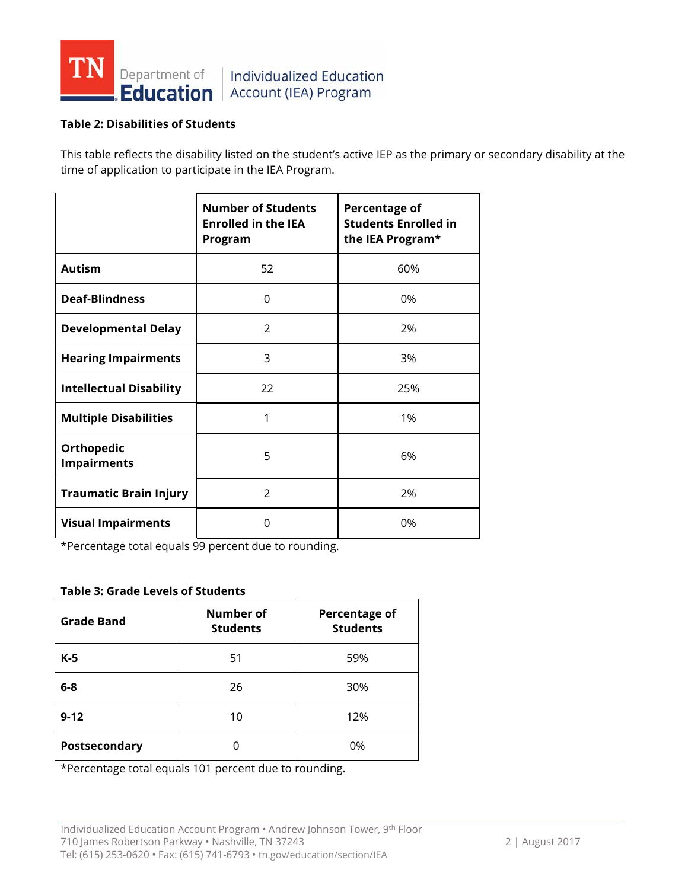

### Individualized Education **Education** Account (IEA) Program

#### **Table 2: Disabilities of Students**

This table reflects the disability listed on the student's active IEP as the primary or secondary disability at the time of application to participate in the IEA Program.

|                                         | <b>Number of Students</b><br><b>Enrolled in the IEA</b><br>Program | Percentage of<br><b>Students Enrolled in</b><br>the IEA Program* |
|-----------------------------------------|--------------------------------------------------------------------|------------------------------------------------------------------|
| <b>Autism</b>                           | 52                                                                 | 60%                                                              |
| <b>Deaf-Blindness</b>                   | 0                                                                  | 0%                                                               |
| <b>Developmental Delay</b>              | $\mathcal{P}$                                                      | 2%                                                               |
| <b>Hearing Impairments</b>              | 3                                                                  | 3%                                                               |
| <b>Intellectual Disability</b>          | 22                                                                 | 25%                                                              |
| <b>Multiple Disabilities</b>            | 1                                                                  | 1%                                                               |
| <b>Orthopedic</b><br><b>Impairments</b> | 5                                                                  | 6%                                                               |
| <b>Traumatic Brain Injury</b>           | $\mathcal{P}$                                                      | 2%                                                               |
| <b>Visual Impairments</b>               | 0                                                                  | 0%                                                               |

\*Percentage total equals 99 percent due to rounding.

#### **Table 3: Grade Levels of Students**

| <b>Grade Band</b> | <b>Number of</b><br><b>Students</b> | <b>Percentage of</b><br><b>Students</b> |
|-------------------|-------------------------------------|-----------------------------------------|
| $K-5$             | 51                                  | 59%                                     |
| $6 - 8$           | 26                                  | 30%                                     |
| $9 - 12$          | 10                                  | 12%                                     |
| Postsecondary     |                                     | 0%                                      |

\*Percentage total equals 101 percent due to rounding.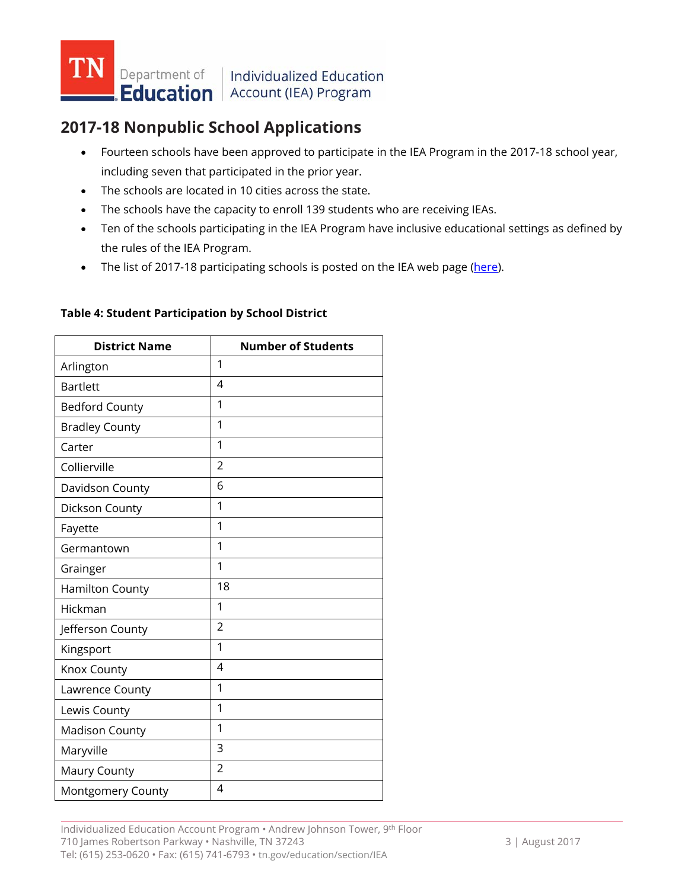

## **2017-18 Nonpublic School Applications**

- Fourteen schools have been approved to participate in the IEA Program in the 2017-18 school year, including seven that participated in the prior year.
- The schools are located in 10 cities across the state.
- The schools have the capacity to enroll 139 students who are receiving IEAs.
- Ten of the schools participating in the IEA Program have inclusive educational settings as defined by the rules of the IEA Program.
- The list of 2017-18 participating schools is posted on the IEA web page [\(here\)](http://www.tn.gov/education/section/iea).

| <b>District Name</b>  | <b>Number of Students</b> |
|-----------------------|---------------------------|
| Arlington             | 1                         |
| <b>Bartlett</b>       | $\overline{4}$            |
| <b>Bedford County</b> | 1                         |
| <b>Bradley County</b> | 1                         |
| Carter                | 1                         |
| Collierville          | $\overline{2}$            |
| Davidson County       | 6                         |
| Dickson County        | 1                         |
| Fayette               | 1                         |
| Germantown            | 1                         |
| Grainger              | 1                         |
| Hamilton County       | 18                        |
| Hickman               | 1                         |
| Jefferson County      | $\overline{2}$            |
| Kingsport             | 1                         |
| Knox County           | 4                         |
| Lawrence County       | 1                         |
| Lewis County          | 1                         |
| <b>Madison County</b> | 1                         |
| Maryville             | 3                         |
| Maury County          | $\overline{2}$            |
| Montgomery County     | 4                         |

#### **Table 4: Student Participation by School District**

Individualized Education Account Program • Andrew Johnson Tower, 9th Floor 710 James Robertson Parkway • Nashville, TN 37243 3 3 | August 2017 Tel: (615) 253-0620 • Fax: (615) 741-6793 • tn.gov/education/section/IEA